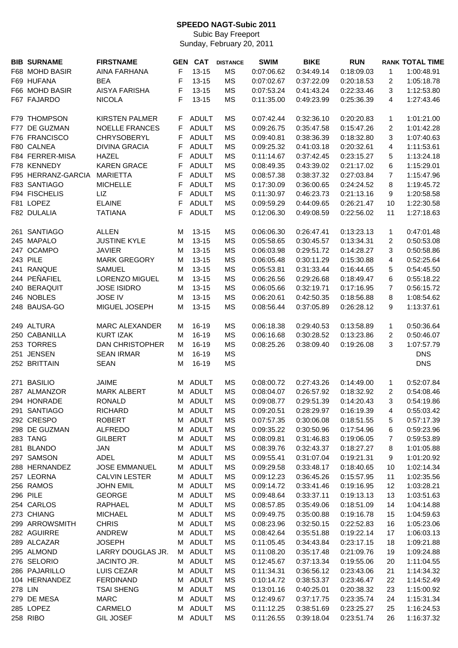## **SPEEDO NAGT-Subic 2011**

Subic Bay Freeport Sunday, February 20, 2011

|         | <b>BIB SURNAME</b> | <b>FIRSTNAME</b>       |    | <b>GEN CAT</b> | <b>DISTANCE</b> | <b>SWIM</b> | <b>BIKE</b> | <b>RUN</b> |                | <b>RANK TOTAL TIME</b> |
|---------|--------------------|------------------------|----|----------------|-----------------|-------------|-------------|------------|----------------|------------------------|
|         | F68 MOHD BASIR     | <b>AINA FARHANA</b>    | F  | $13 - 15$      | MS              | 0:07:06.62  | 0:34:49.14  | 0:18:09.03 | 1              | 1:00:48.91             |
|         | F69 HUFANA         | <b>BEA</b>             | F  | $13 - 15$      | MS              | 0:07:02.67  | 0:37:22.09  | 0:20:18.53 | 2              | 1:05:18.78             |
|         | F66 MOHD BASIR     | AISYA FARISHA          | F  | $13 - 15$      | MS              | 0:07:53.24  | 0:41:43.24  | 0:22:33.46 | 3              | 1:12:53.80             |
|         | F67 FAJARDO        | <b>NICOLA</b>          | F  | $13 - 15$      | <b>MS</b>       | 0:11:35.00  | 0:49:23.99  | 0:25:36.39 | 4              | 1:27:43.46             |
|         |                    |                        |    |                |                 |             |             |            |                |                        |
|         | F79 THOMPSON       | <b>KIRSTEN PALMER</b>  | F. | <b>ADULT</b>   | <b>MS</b>       | 0:07:42.44  | 0:32:36.10  | 0:20:20.83 | 1              | 1:01:21.00             |
|         | F77 DE GUZMAN      | <b>NOELLE FRANCES</b>  | F  | <b>ADULT</b>   | <b>MS</b>       | 0:09:26.75  | 0:35:47.58  | 0:15:47.26 | 2              | 1:01:42.28             |
|         | F76 FRANCISCO      | CHRYSOBERYL            | F  | <b>ADULT</b>   | <b>MS</b>       | 0:09:40.81  | 0:38:36.39  | 0:18:32.80 | 3              | 1:07:40.63             |
|         | F80 CALNEA         | <b>DIVINA GRACIA</b>   | F  | <b>ADULT</b>   | <b>MS</b>       | 0:09:25.32  | 0:41:03.18  | 0:20:32.61 | 4              | 1:11:53.61             |
|         | F84 FERRER-MISA    | <b>HAZEL</b>           | F  | <b>ADULT</b>   | <b>MS</b>       | 0:11:14.67  | 0:37:42.45  | 0:23:15.27 | 5              | 1:13:24.18             |
|         | F78 KENNEDY        | <b>KAREN GRACE</b>     | F  | <b>ADULT</b>   | <b>MS</b>       | 0:08:49.35  | 0:43:39.02  | 0:21:17.02 | 6              | 1:15:29.01             |
|         | F95 HERRANZ-GARCIA | <b>MARIETTA</b>        | F  | <b>ADULT</b>   | MS              | 0:08:57.38  | 0:38:37.32  | 0:27:03.84 | 7              | 1:15:47.96             |
|         | F83 SANTIAGO       | <b>MICHELLE</b>        | F  | <b>ADULT</b>   | MS              | 0:17:30.09  | 0:36:00.65  | 0:24:24.52 | 8              | 1:19:45.72             |
|         | F94 FISCHELIS      | LIZ                    | F  | <b>ADULT</b>   | MS              | 0:11:30.97  | 0:46:23.73  | 0:21:13.16 | 9              | 1:20:58.58             |
|         | F81 LOPEZ          | <b>ELAINE</b>          |    | <b>ADULT</b>   |                 |             |             |            |                |                        |
|         |                    |                        | F  | <b>ADULT</b>   | MS              | 0:09:59.29  | 0:44:09.65  | 0:26:21.47 | 10             | 1:22:30.58             |
|         | F82 DULALIA        | <b>TATIANA</b>         | F  |                | MS              | 0:12:06.30  | 0:49:08.59  | 0:22:56.02 | 11             | 1:27:18.63             |
|         | 261 SANTIAGO       | <b>ALLEN</b>           | M  | $13 - 15$      | <b>MS</b>       | 0:06:06.30  | 0:26:47.41  | 0:13:23.13 | 1              | 0:47:01.48             |
|         | 245 MAPALO         | <b>JUSTINE KYLE</b>    | M  | $13 - 15$      | MS              | 0:05:58.65  | 0:30:45.57  | 0:13:34.31 | 2              | 0:50:53.08             |
|         | 247 OCAMPO         | <b>JAVIER</b>          | М  | $13 - 15$      | <b>MS</b>       | 0:06:03.98  | 0:29:51.72  | 0:14:28.27 | 3              | 0:50:58.86             |
|         | 243 PILE           | <b>MARK GREGORY</b>    | М  | $13 - 15$      | <b>MS</b>       | 0:06:05.48  | 0:30:11.29  | 0:15:30.88 | 4              | 0:52:25.64             |
|         | 241 RANQUE         | <b>SAMUEL</b>          | М  | $13 - 15$      | MS              | 0:05:53.81  | 0:31:33.44  | 0:16:44.65 | 5              | 0:54:45.50             |
|         | 244 PEÑAFIEL       | <b>LORENZO MIGUEL</b>  | М  | $13 - 15$      | <b>MS</b>       | 0:06:26.56  | 0:29:26.68  | 0:18:49.47 | 6              | 0:55:18.22             |
|         | 240 BERAQUIT       |                        |    |                |                 |             |             |            | $\overline{7}$ |                        |
|         | 246 NOBLES         | <b>JOSE ISIDRO</b>     | М  | $13 - 15$      | MS              | 0:06:05.66  | 0:32:19.71  | 0:17:16.95 |                | 0:56:15.72             |
|         |                    | <b>JOSE IV</b>         | М  | $13 - 15$      | MS              | 0:06:20.61  | 0:42:50.35  | 0:18:56.88 | 8              | 1:08:54.62             |
|         | 248 BAUSA-GO       | MIGUEL JOSEPH          | М  | $13 - 15$      | MS              | 0:08:56.44  | 0:37:05.89  | 0:26:28.12 | 9              | 1:13:37.61             |
|         | 249 ALTURA         | <b>MARC ALEXANDER</b>  | м  | 16-19          | <b>MS</b>       | 0:06:18.38  | 0:29:40.53  | 0:13:58.89 | $\mathbf 1$    | 0:50:36.64             |
|         | 250 CABANILLA      | <b>KURT IZAK</b>       | М  | 16-19          | <b>MS</b>       | 0:06:16.68  | 0:30:28.52  | 0:13:23.86 | 2              | 0:50:46.07             |
|         | 253 TORRES         | <b>DAN CHRISTOPHER</b> | М  | 16-19          | <b>MS</b>       | 0:08:25.26  | 0:38:09.40  | 0:19:26.08 | 3              | 1:07:57.79             |
| 251     | <b>JENSEN</b>      | <b>SEAN IRMAR</b>      | M  | 16-19          | <b>MS</b>       |             |             |            |                | <b>DNS</b>             |
|         | 252 BRITTAIN       | <b>SEAN</b>            | M  | 16-19          | <b>MS</b>       |             |             |            |                | <b>DNS</b>             |
|         |                    |                        |    |                |                 |             |             |            |                |                        |
| 271     | <b>BASILIO</b>     | <b>JAIME</b>           | м  | <b>ADULT</b>   | MS              | 0:08:00.72  | 0:27:43.26  | 0:14:49.00 | $\mathbf 1$    | 0:52:07.84             |
|         | 287 ALMANZOR       | <b>MARK ALBERT</b>     | М  | <b>ADULT</b>   | <b>MS</b>       | 0:08:04.07  | 0:26:57.92  | 0:18:32.92 | 2              | 0:54:08.46             |
|         | 294 HONRADE        | RONALD                 | M  | ADULT          | МS              | 0:09:08.77  | 0:29:51.39  | 0:14:20.43 | З              | 0:54:19.86             |
|         | 291 SANTIAGO       | <b>RICHARD</b>         | м  | <b>ADULT</b>   | MS              | 0:09:20.51  | 0:28:29.97  | 0:16:19.39 | 4              | 0:55:03.42             |
|         | 292 CRESPO         | <b>ROBERT</b>          | м  | <b>ADULT</b>   | MS              | 0:07:57.35  | 0:30:06.08  | 0:18:51.55 | 5              | 0:57:17.39             |
|         | 298 DE GUZMAN      | <b>ALFREDO</b>         | м  | <b>ADULT</b>   | MS              | 0:09:35.22  | 0:30:50.96  | 0:17:54.96 | 6              | 0:59:23.96             |
|         | 283 TANG           | <b>GILBERT</b>         | м  | <b>ADULT</b>   | <b>MS</b>       | 0:08:09.81  | 0:31:46.83  | 0:19:06.05 | 7              | 0:59:53.89             |
|         | 281 BLANDO         | <b>JAN</b>             | м  | <b>ADULT</b>   | MS              | 0:08:39.76  | 0:32:43.37  | 0:18:27.27 | 8              | 1:01:05.88             |
|         | 297 SAMSON         | ADEL                   | м  | <b>ADULT</b>   | MS              | 0:09:55.41  | 0:31:07.04  | 0:19:21.31 | 9              | 1:01:20.92             |
|         | 288 HERNANDEZ      | <b>JOSE EMMANUEL</b>   | М  | <b>ADULT</b>   | MS              | 0:09:29.58  | 0:33:48.17  | 0:18:40.65 | 10             | 1:02:14.34             |
|         | 257 LEORNA         | <b>CALVIN LESTER</b>   | М  | <b>ADULT</b>   | <b>MS</b>       | 0:09:12.23  | 0:36:45.26  | 0:15:57.95 | 11             | 1:02:35.56             |
|         | 256 RAMOS          | <b>JOHN EMIL</b>       | м  | <b>ADULT</b>   | MS              | 0:09:14.72  | 0:33:41.46  | 0:19:16.95 | 12             | 1:03:28.21             |
|         | 296 PILE           | <b>GEORGE</b>          | М  | <b>ADULT</b>   | MS              | 0:09:48.64  | 0:33:37.11  | 0:19:13.13 | 13             | 1:03:51.63             |
|         | 254 CARLOS         | RAPHAEL                | М  | <b>ADULT</b>   | MS              | 0:08:57.85  | 0:35:49.06  | 0:18:51.09 | 14             | 1:04:14.88             |
|         | 273 CHIANG         | <b>MICHAEL</b>         | М  | <b>ADULT</b>   | MS              | 0:09:49.75  | 0:35:00.88  | 0:19:16.78 | 15             | 1:04:59.63             |
|         | 299 ARROWSMITH     | <b>CHRIS</b>           | М  | <b>ADULT</b>   | MS              | 0:08:23.96  | 0:32:50.15  | 0:22:52.83 | 16             | 1:05:23.06             |
|         | 282 AGUIRRE        | ANDREW                 | М  | <b>ADULT</b>   | MS              | 0:08:42.64  | 0:35:51.88  | 0:19:22.14 | 17             | 1:06:03.13             |
|         | 289 ALCAZAR        | <b>JOSEPH</b>          | М  | <b>ADULT</b>   | MS              | 0:11:05.45  | 0:34:43.84  | 0:23:17.15 | 18             | 1:09:21.88             |
|         | 295 ALMOND         | LARRY DOUGLAS JR.      | М  | <b>ADULT</b>   | MS              | 0:11:08.20  | 0:35:17.48  | 0:21:09.76 | 19             | 1:09:24.88             |
|         | 276 SELORIO        | JACINTO JR.            | М  | <b>ADULT</b>   | MS              | 0:12:45.67  | 0:37:13.34  | 0:19:55.06 | 20             | 1:11:04.55             |
|         | 286 PAJARILLO      | LUIS CEZAR             | М  | <b>ADULT</b>   | MS              |             |             |            |                |                        |
|         |                    |                        |    |                |                 | 0:11:34.31  | 0:36:56.12  | 0:23:43.06 | 21             | 1:14:34.32             |
|         | 104 HERNANDEZ      | <b>FERDINAND</b>       | М  | <b>ADULT</b>   | MS              | 0:10:14.72  | 0:38:53.37  | 0:23:46.47 | 22             | 1:14:52.49             |
| 278 LIN |                    | <b>TSAI SHENG</b>      | М  | <b>ADULT</b>   | MS              | 0:13:01.16  | 0:40:25.01  | 0:20:38.32 | 23             | 1:15:00.92             |
|         | 279 DE MESA        | <b>MARC</b>            | м  | <b>ADULT</b>   | MS              | 0:12:49.67  | 0:37:17.75  | 0:23:35.74 | 24             | 1:15:31.34             |
|         | 285 LOPEZ          | CARMELO                | м  | <b>ADULT</b>   | MS              | 0:11:12.25  | 0:38:51.69  | 0:23:25.27 | 25             | 1:16:24.53             |
|         | 258 RIBO           | <b>GIL JOSEF</b>       | М  | <b>ADULT</b>   | MS              | 0:11:26.55  | 0:39:18.04  | 0:23:51.74 | 26             | 1:16:37.32             |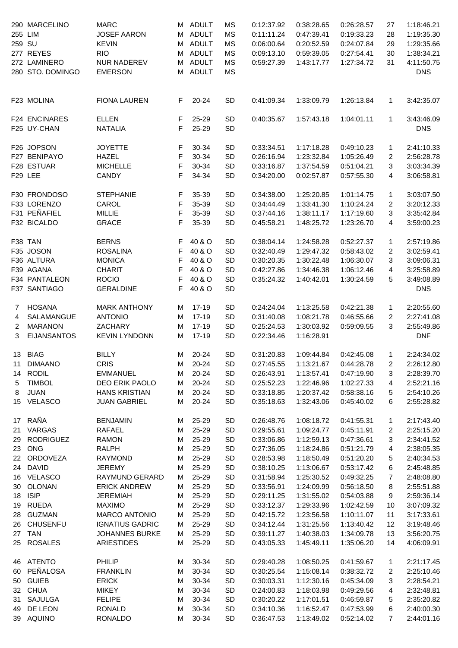|                  | 290 MARCELINO        | <b>MARC</b>            |    | M ADULT      | MS        | 0:12:37.92 | 0:38:28.65 | 0:26:28.57              | 27             | 1:18:46.21 |
|------------------|----------------------|------------------------|----|--------------|-----------|------------|------------|-------------------------|----------------|------------|
| 255 LIM          |                      | <b>JOSEF AARON</b>     | М  | <b>ADULT</b> | MS        | 0:11:11.24 | 0:47:39.41 | 0:19:33.23              | 28             | 1:19:35.30 |
| 259 SU           |                      | <b>KEVIN</b>           | М  | <b>ADULT</b> | MS        | 0:06:00.64 | 0:20:52.59 | 0:24:07.84              | 29             | 1:29:35.66 |
|                  |                      |                        |    |              |           |            |            |                         |                |            |
|                  | 277 REYES            | <b>RIO</b>             | M  | <b>ADULT</b> | MS        | 0:09:13.10 | 0:59:39.05 | 0:27:54.41              | 30             | 1:38:34.21 |
|                  | 272 LAMINERO         | <b>NUR NADEREV</b>     | М  | <b>ADULT</b> | MS        | 0:59:27.39 | 1:43:17.77 | 1:27:34.72              | 31             | 4:11:50.75 |
|                  | 280 STO. DOMINGO     | <b>EMERSON</b>         | М  | <b>ADULT</b> | <b>MS</b> |            |            |                         |                | <b>DNS</b> |
|                  | F23 MOLINA           | <b>FIONA LAUREN</b>    | F. | $20 - 24$    | SD        | 0:41:09.34 | 1:33:09.79 | 1:26:13.84              | 1              | 3:42:35.07 |
|                  |                      |                        |    |              |           |            |            |                         |                |            |
|                  | <b>F24 ENCINARES</b> | <b>ELLEN</b>           | F  | 25-29        | SD        | 0:40:35.67 | 1:57:43.18 | 1:04:01.11              | 1              | 3:43:46.09 |
|                  | F25 UY-CHAN          | <b>NATALIA</b>         | F  | 25-29        | SD        |            |            |                         |                | <b>DNS</b> |
|                  | F26 JOPSON           | <b>JOYETTE</b>         | F  | 30-34        | <b>SD</b> | 0:33:34.51 | 1:17:18.28 | 0:49:10.23              | 1              | 2:41:10.33 |
|                  | F27 BENIPAYO         | <b>HAZEL</b>           | F  | 30-34        | SD        | 0:26:16.94 | 1:23:32.84 | 1:05:26.49              | 2              | 2:56:28.78 |
|                  | F28 ESTUAR           | <b>MICHELLE</b>        | F  | 30-34        | SD        | 0:33:16.87 | 1:37:54.59 | 0:51:04.21              | 3              | 3:03:34.39 |
|                  | F29 LEE              | <b>CANDY</b>           | F  | 34-34        | SD        | 0:34:20.00 | 0:02:57.87 | 0:57:55.30              | 4              | 3:06:58.81 |
|                  | F30 FRONDOSO         |                        |    | 35-39        | SD        | 0:34:38.00 |            |                         |                |            |
|                  |                      | <b>STEPHANIE</b>       | F  |              |           |            | 1:25:20.85 | 1:01:14.75              | 1              | 3:03:07.50 |
|                  | F33 LORENZO          | CAROL                  | F  | 35-39        | <b>SD</b> | 0:34:44.49 | 1:33:41.30 | 1:10:24.24              | 2              | 3:20:12.33 |
|                  | F31 PEÑAFIEL         | <b>MILLIE</b>          | F  | 35-39        | SD        | 0:37:44.16 | 1:38:11.17 | 1:17:19.60              | 3              | 3:35:42.84 |
|                  | F32 BICALDO          | <b>GRACE</b>           | F  | 35-39        | SD        | 0:45:58.21 | 1:48:25.72 | 1:23:26.70              | 4              | 3:59:00.23 |
|                  | F38 TAN              | <b>BERNS</b>           | F  | 40 & O       | SD        | 0:38:04.14 | 1:24:58.28 | 0:52:27.37              | 1              | 2:57:19.86 |
|                  | F35 JOSON            | <b>ROSALINA</b>        | F  | 40 & O       | SD        | 0:32:40.49 | 1:29:47.32 | 0:58:43.02              | 2              | 3:02:59.41 |
|                  | F36 ALTURA           | <b>MONICA</b>          | F  | 40 & O       | <b>SD</b> | 0:30:20.35 | 1:30:22.48 | 1:06:30.07              | 3              | 3:09:06.31 |
|                  | F39 AGANA            | <b>CHARIT</b>          | F  | 40 & O       | <b>SD</b> | 0:42:27.86 | 1:34:46.38 | 1:06:12.46              | 4              | 3:25:58.89 |
|                  | F34 PANTALEON        | <b>ROCIO</b>           |    | 40 & O       |           |            |            |                         |                |            |
|                  |                      |                        | F  |              | SD        | 0:35:24.32 | 1:40:42.01 | 1:30:24.59              | 5              | 3:49:08.89 |
|                  | F37 SANTIAGO         | <b>GERALDINE</b>       | F  | 40 & O       | <b>SD</b> |            |            |                         |                | <b>DNS</b> |
| 7                | <b>HOSANA</b>        | <b>MARK ANTHONY</b>    | M  | 17-19        | SD        | 0:24:24.04 | 1:13:25.58 | 0:42:21.38              | 1              | 2:20:55.60 |
| 4                | SALAMANGUE           | <b>ANTONIO</b>         | м  | 17-19        | SD        | 0:31:40.08 | 1:08:21.78 | 0:46:55.66              | 2              | 2:27:41.08 |
| 2                | <b>MARANON</b>       | ZACHARY                | M  | 17-19        | SD        | 0:25:24.53 | 1:30:03.92 | 0:59:09.55              | 3              | 2:55:49.86 |
| 3                | <b>EIJANSANTOS</b>   | <b>KEVIN LYNDONN</b>   | M  | 17-19        | SD        | 0:22:34.46 | 1:16:28.91 |                         |                | <b>DNF</b> |
| 13 <sup>13</sup> | <b>BIAG</b>          | <b>BILLY</b>           | М  | 20-24        | <b>SD</b> | 0:31:20.83 | 1:09:44.84 | 0:42:45.08              | 1              | 2:24:34.02 |
|                  | 11 DIMAANO           | <b>CRIS</b>            | M  | 20-24        | SD        | 0:27:45.55 |            | 1:13:21.67   0:44:28.78 | $\mathbf{2}$   | 2:26:12.80 |
| 14               | <b>RODIL</b>         | <b>EMMANUEL</b>        | м  | 20-24        | SD        | 0:26:43.91 | 1:13:57.41 | 0:47:19.90              | 3              | 2:28:39.70 |
|                  | <b>TIMBOL</b>        | DEO ERIK PAOLO         | М  | 20-24        | SD        |            |            |                         |                | 2:52:21.16 |
| 5                |                      |                        |    |              |           | 0:25:52.23 | 1:22:46.96 | 1:02:27.33              | 4              |            |
| 8                | <b>JUAN</b>          | <b>HANS KRISTIAN</b>   | м  | 20-24        | SD        | 0:33:18.85 | 1:20:37.42 | 0:58:38.16              | 5              | 2:54:10.26 |
|                  | 15 VELASCO           | <b>JUAN GABRIEL</b>    | М  | $20 - 24$    | SD        | 0:35:18.63 | 1:32:43.06 | 0:45:40.02              | 6              | 2:55:28.82 |
| 17               | RAÑA                 | <b>BENJAMIN</b>        | М  | 25-29        | SD        | 0:26:48.76 | 1:08:18.72 | 0:41:55.31              | $\mathbf{1}$   | 2:17:43.40 |
| 21               | VARGAS               | <b>RAFAEL</b>          | м  | 25-29        | SD        | 0:29:55.61 | 1:09:24.77 | 0:45:11.91              | 2              | 2:25:15.20 |
| 29               | <b>RODRIGUEZ</b>     | <b>RAMON</b>           | M  | 25-29        | SD        | 0:33:06.86 | 1:12:59.13 | 0:47:36.61              | 3              | 2:34:41.52 |
| 23               | <b>ONG</b>           | <b>RALPH</b>           | M  | 25-29        | SD        | 0:27:36.05 | 1:18:24.86 | 0:51:21.79              | 4              | 2:38:05.35 |
| 22               | ORDOVEZA             | <b>RAYMOND</b>         | M  | 25-29        | SD        | 0:28:53.98 | 1:18:50.49 | 0:51:20.20              | 5              | 2:40:34.53 |
| 24               | <b>DAVID</b>         | <b>JEREMY</b>          | M  | 25-29        | SD        | 0:38:10.25 | 1:13:06.67 | 0:53:17.42              | 6              | 2:45:48.85 |
| 16               | <b>VELASCO</b>       | RAYMUND GERARD         | M  | 25-29        | SD        | 0:31:58.94 | 1:25:30.52 | 0:49:32.25              | 7              | 2:48:08.80 |
|                  | <b>OLONAN</b>        | <b>ERICK ANDREW</b>    | M  | 25-29        | SD        |            |            | 0:56:18.50              |                | 2:55:51.88 |
| 30               |                      |                        |    |              |           | 0:33:56.91 | 1:24:09.99 |                         | 8              |            |
| 18               | <b>ISIP</b>          | <b>JEREMIAH</b>        | M  | 25-29        | SD        | 0:29:11.25 | 1:31:55.02 | 0:54:03.88              | 9              | 2:59:36.14 |
| 19               | <b>RUEDA</b>         | <b>MAXIMO</b>          | M  | 25-29        | SD        | 0:33:12.37 | 1:29:33.96 | 1:02:42.59              | 10             | 3:07:09.32 |
| 28               | <b>GUZMAN</b>        | <b>MARCO ANTONIO</b>   | М  | 25-29        | SD        | 0:42:15.72 | 1:23:56.58 | 1:10:11.07              | 11             | 3:17:33.61 |
| 26               | <b>CHUSENFU</b>      | <b>IGNATIUS GADRIC</b> | м  | 25-29        | SD        | 0:34:12.44 | 1:31:25.56 | 1:13:40.42              | 12             | 3:19:48.46 |
| 27               | <b>TAN</b>           | <b>JOHANNES BURKE</b>  | м  | 25-29        | SD        | 0:39:11.27 | 1:40:38.03 | 1:34:09.78              | 13             | 3:56:20.75 |
| 25               | <b>ROSALES</b>       | <b>ARIESTIDES</b>      | М  | 25-29        | SD        | 0:43:05.33 | 1:45:49.11 | 1:35:06.20              | 14             | 4:06:09.91 |
|                  | 46 ATENTO            | PHILIP                 | М  | 30-34        | SD        | 0:29:40.28 | 1:08:50.25 | 0:41:59.67              | 1              | 2:21:17.45 |
| 60               | PEÑALOSA             | <b>FRANKLIN</b>        | M  | 30-34        | SD        | 0:30:25.54 | 1:15:08.14 | 0:38:32.72              | 2              | 2:25:10.46 |
| 50               | <b>GUIEB</b>         | <b>ERICK</b>           | M  | 30-34        | SD        | 0:30:03.31 | 1:12:30.16 | 0:45:34.09              | 3              | 2:28:54.21 |
|                  |                      |                        |    |              |           |            |            |                         |                |            |
| 32               | <b>CHUA</b>          | <b>MIKEY</b>           | м  | 30-34        | SD        | 0:24:00.83 | 1:18:03.98 | 0:49:29.56              | 4              | 2:32:48.81 |
| 31               | <b>SAJULGA</b>       | <b>FELIPE</b>          | M  | 30-34        | SD        | 0:30:20.22 | 1:17:01.51 | 0:46:59.87              | 5              | 2:35:20.82 |
| 49               | DE LEON              | <b>RONALD</b>          | M  | 30-34        | SD        | 0:34:10.36 | 1:16:52.47 | 0:47:53.99              | 6              | 2:40:00.30 |
|                  | 39 AQUINO            | <b>RONALDO</b>         | М  | 30-34        | SD        | 0:36:47.53 | 1:13:49.02 | 0:52:14.02              | $\overline{7}$ | 2:44:01.16 |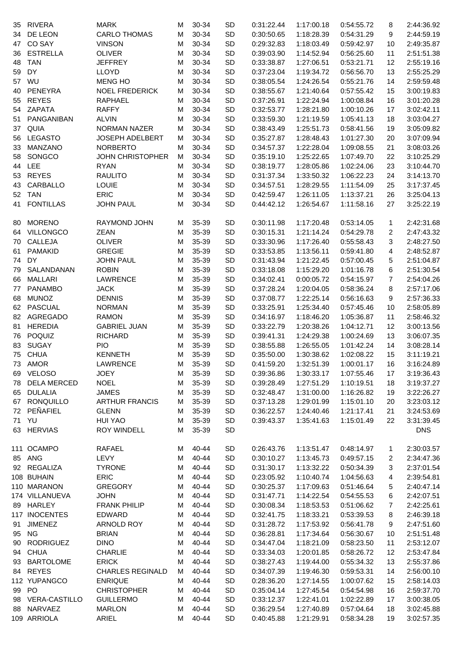| 35 | <b>RIVERA</b>      | <b>MARK</b>             | M | 30-34 | SD        | 0:31:22.44 | 1:17:00.18 | 0:54:55.72 | 8  | 2:44:36.92 |
|----|--------------------|-------------------------|---|-------|-----------|------------|------------|------------|----|------------|
| 34 | DE LEON            | <b>CARLO THOMAS</b>     | M | 30-34 | SD        | 0:30:50.65 | 1:18:28.39 | 0:54:31.29 | 9  | 2:44:59.19 |
| 47 | CO SAY             | <b>VINSON</b>           | M | 30-34 | SD        | 0:29:32.83 | 1:18:03.49 | 0:59:42.97 | 10 | 2:49:35.87 |
| 36 | <b>ESTRELLA</b>    | <b>OLIVER</b>           | M | 30-34 | SD        | 0:39:03.90 | 1:14:52.94 | 0:56:25.60 | 11 | 2:51:51.38 |
| 48 | <b>TAN</b>         | JEFFREY                 | M | 30-34 | SD        | 0:33:38.87 | 1:27:06.51 | 0:53:21.71 | 12 | 2:55:19.16 |
| 59 | DY                 | LLOYD                   | M | 30-34 | SD        | 0:37:23.04 | 1:19:34.72 | 0:56:56.70 | 13 | 2:55:25.29 |
| 57 | WU                 | <b>MENG HO</b>          | м | 30-34 | <b>SD</b> | 0:38:05.54 | 1:24:26.54 | 0:55:21.76 | 14 | 2:59:59.48 |
| 40 | PENEYRA            | <b>NOEL FREDERICK</b>   | M | 30-34 | <b>SD</b> | 0:38:55.67 | 1:21:40.64 | 0:57:55.42 | 15 | 3:00:19.83 |
| 55 | <b>REYES</b>       | RAPHAEL                 | М | 30-34 | <b>SD</b> | 0:37:26.91 | 1:22:24.94 | 1:00:08.84 | 16 | 3:01:20.28 |
| 54 | <b>ZAPATA</b>      | <b>RAFFY</b>            | M | 30-34 | <b>SD</b> | 0:32:53.77 | 1:28:21.80 | 1:00:10.26 | 17 | 3:02:42.11 |
| 51 | PANGANIBAN         | <b>ALVIN</b>            | М | 30-34 | <b>SD</b> | 0:33:59.30 | 1:21:19.59 | 1:05:41.13 | 18 | 3:03:04.27 |
| 37 | QUIA               | NORMAN NAZER            | M | 30-34 | <b>SD</b> | 0:38:43.49 | 1:25:51.73 | 0:58:41.56 | 19 | 3:05:09.82 |
| 56 | <b>LEGASTO</b>     | JOSEPH ADELBERT         | M | 30-34 | <b>SD</b> | 0:35:27.87 | 1:28:48.43 | 1:01:27.30 | 20 | 3:07:09.94 |
| 33 | <b>MANZANO</b>     | <b>NORBERTO</b>         | M | 30-34 | SD        | 0:34:57.37 | 1:22:28.04 | 1:09:08.55 | 21 | 3:08:03.26 |
| 58 | SONGCO             | <b>JOHN CHRISTOPHER</b> | M | 30-34 | <b>SD</b> | 0:35:19.10 | 1:25:22.65 | 1:07:49.70 | 22 | 3:10:25.29 |
| 44 | LEE                | <b>RYAN</b>             | M | 30-34 | <b>SD</b> | 0:38:19.77 | 1:28:05.86 | 1:02:24.06 | 23 | 3:10:44.70 |
| 53 | <b>REYES</b>       | <b>RAULITO</b>          | M | 30-34 | SD        | 0:31:37.34 | 1:33:50.32 | 1:06:22.23 | 24 | 3:14:13.70 |
| 43 | CARBALLO           | LOUIE                   | M | 30-34 | SD        | 0:34:57.51 | 1:28:29.55 | 1:11:54.09 | 25 | 3:17:37.45 |
|    | 52 TAN             | <b>ERIC</b>             | M | 30-34 | <b>SD</b> | 0:42:59.47 | 1:26:11.05 | 1:13:37.21 | 26 | 3:25:04.13 |
| 41 | <b>FONTILLAS</b>   | <b>JOHN PAUL</b>        | M | 30-34 | SD        | 0:44:42.12 | 1:26:54.67 | 1:11:58.16 | 27 | 3:25:22.19 |
|    |                    |                         |   |       |           |            |            |            |    |            |
| 80 | <b>MORENO</b>      | RAYMOND JOHN            | M | 35-39 | SD        | 0:30:11.98 | 1:17:20.48 | 0:53:14.05 | 1  | 2:42:31.68 |
| 64 | VILLONGCO          | <b>ZEAN</b>             | M | 35-39 | SD        | 0:30:15.31 | 1:21:14.24 | 0:54:29.78 | 2  | 2:47:43.32 |
| 70 | CALLEJA            | <b>OLIVER</b>           | M | 35-39 | SD        | 0:33:30.96 | 1:17:26.40 | 0:55:58.43 | 3  | 2:48:27.50 |
| 61 | PAMAKID            | <b>GREGIE</b>           | M | 35-39 | SD        | 0:33:53.85 | 1:13:56.11 | 0:59:41.80 | 4  | 2:48:52.87 |
| 74 | <b>DY</b>          | <b>JOHN PAUL</b>        | M | 35-39 | SD        | 0:31:43.94 | 1:21:22.45 | 0:57:00.45 | 5  | 2:51:04.87 |
| 79 | SALANDANAN         | <b>ROBIN</b>            | M | 35-39 | SD        | 0:33:18.08 | 1:15:29.20 | 1:01:16.78 | 6  | 2:51:30.54 |
| 66 | <b>MALLARI</b>     | LAWRENCE                | M | 35-39 | SD        | 0:34:02.41 | 0:00:05.72 | 0:54:15.97 | 7  | 2:54:04.26 |
| 77 | <b>PANAMBO</b>     | <b>JACK</b>             | M | 35-39 | <b>SD</b> | 0:37:28.24 | 1:20:04.05 | 0:58:36.24 | 8  | 2:57:17.06 |
| 68 | <b>MUNOZ</b>       | <b>DENNIS</b>           | M | 35-39 | <b>SD</b> | 0:37:08.77 | 1:22:25.14 | 0:56:16.63 | 9  | 2:57:36.33 |
| 62 | PASCUAL            | <b>NORMAN</b>           | M | 35-39 | <b>SD</b> | 0:33:25.91 | 1:25:34.40 | 0:57:45.46 | 10 | 2:58:05.89 |
| 82 | AGREGADO           | <b>RAMON</b>            | M | 35-39 | SD        | 0:34:16.97 | 1:18:46.20 | 1:05:36.87 | 11 | 2:58:46.32 |
| 81 | <b>HEREDIA</b>     | <b>GABRIEL JUAN</b>     | M | 35-39 | <b>SD</b> | 0:33:22.79 | 1:20:38.26 | 1:04:12.71 | 12 | 3:00:13.56 |
| 76 | POQUIZ             | <b>RICHARD</b>          | M | 35-39 | <b>SD</b> | 0:39:41.31 | 1:24:29.38 | 1:00:24.69 | 13 | 3:06:07.35 |
| 83 | <b>SUGAY</b>       | <b>PIO</b>              | M | 35-39 | <b>SD</b> | 0:38:55.88 | 1:26:55.05 | 1:01:42.24 | 14 | 3:08:28.14 |
| 75 | <b>CHUA</b>        | <b>KENNETH</b>          | M | 35-39 | SD        | 0:35:50.00 | 1:30:38.62 | 1:02:08.22 | 15 | 3:11:19.21 |
|    | 73 AMOR            | LAWRENCE                | М | 35-39 | SD        | 0:41:59.20 | 1:32:51.39 | 1:00:01.17 | 16 | 3:16:24.89 |
|    | 69 VELOSO          | <b>JOEY</b>             | м | 35-39 | SD        | 0:39:36.86 | 1:30:33.17 | 1:07:55.46 | 17 | 3:19:36.43 |
| 78 | <b>DELA MERCED</b> | <b>NOEL</b>             | м | 35-39 | SD        | 0:39:28.49 | 1:27:51.29 | 1:10:19.51 | 18 | 3:19:37.27 |
|    | 65 DULALIA         | <b>JAMES</b>            | м | 35-39 | SD        | 0:32:48.47 | 1:31:00.00 | 1:16:26.82 | 19 | 3:22:26.27 |
|    | 67 RONQUILLO       | <b>ARTHUR FRANCIS</b>   | м | 35-39 | SD        | 0:37:13.28 | 1:29:01.99 | 1:15:01.10 | 20 | 3:23:03.12 |
|    | 72 PEÑAFIEL        | <b>GLENN</b>            | м | 35-39 | SD        | 0:36:22.57 | 1:24:40.46 | 1:21:17.41 | 21 | 3:24:53.69 |
|    | 71 YU              | <b>HUI YAO</b>          | м | 35-39 | SD        | 0:39:43.37 | 1:35:41.63 | 1:15:01.49 | 22 | 3:31:39.45 |
|    | 63 HERVIAS         | <b>ROY WINDELL</b>      | м | 35-39 | SD        |            |            |            |    | <b>DNS</b> |
|    |                    |                         |   |       |           |            |            |            |    |            |
|    | 111 OCAMPO         | <b>RAFAEL</b>           | м | 40-44 | SD        | 0:26:43.76 | 1:13:51.47 | 0:48:14.97 | 1  | 2:30:03.57 |
|    | 85 ANG             | LEVY                    | м | 40-44 | SD        | 0:30:10.27 | 1:13:45.73 | 0:49:57.15 | 2  | 2:34:47.36 |
|    | 92 REGALIZA        | <b>TYRONE</b>           | M | 40-44 | SD        | 0:31:30.17 | 1:13:32.22 | 0:50:34.39 | 3  | 2:37:01.54 |
|    | 108 BUHAIN         | <b>ERIC</b>             | M | 40-44 | <b>SD</b> | 0:23:05.92 | 1:10:40.74 | 1:04:56.63 | 4  | 2:39:54.81 |
|    | 110 MARANON        | <b>GREGORY</b>          | M | 40-44 | SD        | 0:30:25.37 | 1:17:09.63 | 0:51:46.64 | 5  | 2:40:47.14 |
|    | 174 VILLANUEVA     | <b>JOHN</b>             | M | 40-44 | SD        | 0:31:47.71 | 1:14:22.54 | 0:54:55.53 | 6  | 2:42:07.51 |
|    | 89 HARLEY          | <b>FRANK PHILIP</b>     | M | 40-44 | SD        | 0:30:08.34 | 1:18:53.53 | 0:51:06.62 | 7  | 2:42:25.61 |
|    | 117 INOCENTES      | EDWARD                  | M | 40-44 | SD        | 0:32:41.75 | 1:18:33.21 | 0:53:39.53 | 8  | 2:46:39.18 |
| 91 | <b>JIMENEZ</b>     | ARNOLD ROY              | M | 40-44 | SD        | 0:31:28.72 | 1:17:53.92 | 0:56:41.78 | 9  | 2:47:51.60 |
|    | 95 NG              | <b>BRIAN</b>            | м | 40-44 | SD        | 0:36:28.81 | 1:17:34.64 | 0:56:30.67 | 10 | 2:51:51.48 |
| 90 | <b>RODRIGUEZ</b>   | <b>DINO</b>             | м | 40-44 | SD        | 0:34:47.04 | 1:18:21.09 | 0:58:23.50 | 11 | 2:53:12.07 |
| 94 | <b>CHUA</b>        | <b>CHARLIE</b>          | м | 40-44 | <b>SD</b> | 0:33:34.03 | 1:20:01.85 | 0:58:26.72 | 12 | 2:53:47.84 |
| 93 | <b>BARTOLOME</b>   | <b>ERICK</b>            | м | 40-44 | SD        | 0:38:27.43 | 1:19:44.00 | 0:55:34.32 | 13 | 2:55:37.86 |
|    | 84 REYES           | <b>CHARLES REGINALD</b> | м | 40-44 | SD        | 0:34:07.39 | 1:19:46.30 | 0:59:53.31 | 14 | 2:56:00.10 |
|    | 112 YUPANGCO       | <b>ENRIQUE</b>          | м | 40-44 | SD        | 0:28:36.20 | 1:27:14.55 | 1:00:07.62 | 15 | 2:58:14.03 |
|    | 99 PO              | <b>CHRISTOPHER</b>      | м | 40-44 | SD        | 0:35:04.14 | 1:27:45.54 | 0:54:54.98 | 16 | 2:59:37.70 |
|    | 98 VERA-CASTILLO   | <b>GUILLERMO</b>        | M | 40-44 | SD        | 0:33:12.37 | 1:22:41.01 | 1:02:22.89 | 17 | 3:00:38.05 |
| 88 | NARVAEZ            | <b>MARLON</b>           | м | 40-44 | SD        | 0:36:29.54 | 1:27:40.89 | 0:57:04.64 | 18 | 3:02:45.88 |
|    | 109 ARRIOLA        | ARIEL                   | M | 40-44 | <b>SD</b> | 0:40:45.88 | 1:21:29.91 | 0:58:34.28 | 19 | 3:02:57.35 |